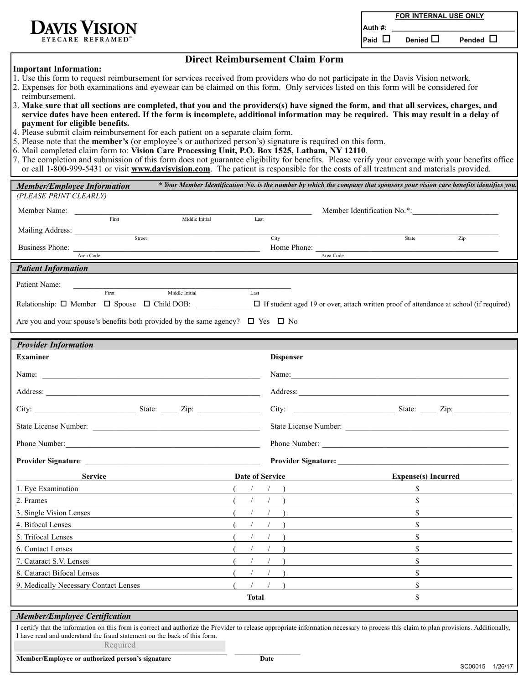**FOR INTERNAL USE ONLY**

**Auth #: \_\_\_\_\_\_\_\_\_\_\_\_\_\_\_\_\_\_\_\_\_\_\_\_\_\_\_\_\_\_\_\_**

 $P$ aid  $\Box$  **Denied**  $\Box$  **Pended**  $\Box$ 

EYECARE REFRAMED

## **Direct Reimbursement Claim Form**

## **Important Information:**

- 1. Use this form to request reimbursement for services received from providers who do not participate in the Davis Vision network.
- 2. Expenses for both examinations and eyewear can be claimed on this form. Only services listed on this form will be considered for reimbursement.
- 3. **Make sure that all sections are completed, that you and the providers(s) have signed the form, and that all services, charges, and service dates have been entered. If the form is incomplete, additional information may be required. This may result in a delay of payment for eligible benefits.**
- 4. Please submit claim reimbursement for each patient on a separate claim form.
- 5. Please note that the **member's** (or employee's or authorized person's) signature is required on this form.
- 6. Mail completed claim form to: **Vision Care Processing Unit, P.O. Box 1525, Latham, NY 12110**.
- 7. The completion and submission of this form does not guarantee eligibility for benefits. Please verify your coverage with your benefits office or call 1-800-999-5431 or visit **www.davisvision.com**. The patient is responsible for the costs of all treatment and materials provided.

| of can 1-600-999-9491 of visit www.davisvision.com. The patient is responsible for the costs of an ireatment and materials provided.                                                                                                                                           |                 |                  |                                                                                                                                                                                                                                |
|--------------------------------------------------------------------------------------------------------------------------------------------------------------------------------------------------------------------------------------------------------------------------------|-----------------|------------------|--------------------------------------------------------------------------------------------------------------------------------------------------------------------------------------------------------------------------------|
| <b>Member/Employee Information</b>                                                                                                                                                                                                                                             |                 |                  | * Your Member Identification No. is the number by which the company that sponsors your vision care benefits identifies you.                                                                                                    |
| (PLEASE PRINT CLEARLY)                                                                                                                                                                                                                                                         |                 |                  |                                                                                                                                                                                                                                |
| Member Name:                                                                                                                                                                                                                                                                   |                 |                  |                                                                                                                                                                                                                                |
| First<br>Middle Initial                                                                                                                                                                                                                                                        | Last            |                  |                                                                                                                                                                                                                                |
| Street                                                                                                                                                                                                                                                                         |                 | City             | State<br>Zip                                                                                                                                                                                                                   |
| Business Phone:<br>Area Code                                                                                                                                                                                                                                                   |                 | Home Phone:      | Area Code                                                                                                                                                                                                                      |
| <b>Patient Information</b>                                                                                                                                                                                                                                                     |                 |                  |                                                                                                                                                                                                                                |
| Patient Name:                                                                                                                                                                                                                                                                  |                 |                  |                                                                                                                                                                                                                                |
| Middle Initial<br>First                                                                                                                                                                                                                                                        | Last            |                  |                                                                                                                                                                                                                                |
| Relationship: $\Box$ Member $\Box$ Spouse $\Box$ Child DOB: $\Box$ If student aged 19 or over, attach written proof of attendance at school (if required)                                                                                                                      |                 |                  |                                                                                                                                                                                                                                |
| Are you and your spouse's benefits both provided by the same agency? $\Box$ Yes $\Box$ No                                                                                                                                                                                      |                 |                  |                                                                                                                                                                                                                                |
|                                                                                                                                                                                                                                                                                |                 |                  |                                                                                                                                                                                                                                |
| <b>Provider Information</b>                                                                                                                                                                                                                                                    |                 |                  |                                                                                                                                                                                                                                |
| <b>Examiner</b>                                                                                                                                                                                                                                                                |                 | <b>Dispenser</b> |                                                                                                                                                                                                                                |
|                                                                                                                                                                                                                                                                                |                 |                  | Name:                                                                                                                                                                                                                          |
|                                                                                                                                                                                                                                                                                |                 |                  |                                                                                                                                                                                                                                |
| City: $\qquad \qquad \qquad$ State: $\qquad \qquad$ Zip:                                                                                                                                                                                                                       |                 |                  | City: <u>City:</u> State: <u>City:</u> City:                                                                                                                                                                                   |
|                                                                                                                                                                                                                                                                                |                 |                  |                                                                                                                                                                                                                                |
|                                                                                                                                                                                                                                                                                |                 |                  |                                                                                                                                                                                                                                |
|                                                                                                                                                                                                                                                                                |                 |                  | Provider Signature: New York School School School School School School School School School School School School School School School School School School School School School School School School School School School Scho |
| <b>Service</b>                                                                                                                                                                                                                                                                 | Date of Service |                  | <b>Expense(s)</b> Incurred                                                                                                                                                                                                     |
| 1. Eye Examination                                                                                                                                                                                                                                                             |                 |                  | $\mathbb{S}$                                                                                                                                                                                                                   |
| 2. Frames                                                                                                                                                                                                                                                                      |                 |                  | $\mathbb{S}$                                                                                                                                                                                                                   |
| 3. Single Vision Lenses                                                                                                                                                                                                                                                        |                 |                  | $\mathbb{S}$                                                                                                                                                                                                                   |
| 4. Bifocal Lenses                                                                                                                                                                                                                                                              |                 |                  | \$                                                                                                                                                                                                                             |
| 5. Trifocal Lenses                                                                                                                                                                                                                                                             |                 |                  | \$                                                                                                                                                                                                                             |
| 6. Contact Lenses                                                                                                                                                                                                                                                              |                 |                  | $\mathbf S$                                                                                                                                                                                                                    |
| 7. Cataract S.V. Lenses                                                                                                                                                                                                                                                        |                 |                  | \$                                                                                                                                                                                                                             |
| 8. Cataract Bifocal Lenses                                                                                                                                                                                                                                                     |                 |                  | \$                                                                                                                                                                                                                             |
| 9. Medically Necessary Contact Lenses                                                                                                                                                                                                                                          |                 |                  | \$                                                                                                                                                                                                                             |
|                                                                                                                                                                                                                                                                                | <b>Total</b>    |                  | \$                                                                                                                                                                                                                             |
| <b>Member/Employee Certification</b>                                                                                                                                                                                                                                           |                 |                  |                                                                                                                                                                                                                                |
| I certify that the information on this form is correct and authorize the Provider to release appropriate information necessary to process this claim to plan provisions. Additionally,<br>I have read and understand the fraud statement on the back of this form.<br>Required |                 |                  |                                                                                                                                                                                                                                |
| Member/Employee or authorized person's signature                                                                                                                                                                                                                               |                 | Date             |                                                                                                                                                                                                                                |